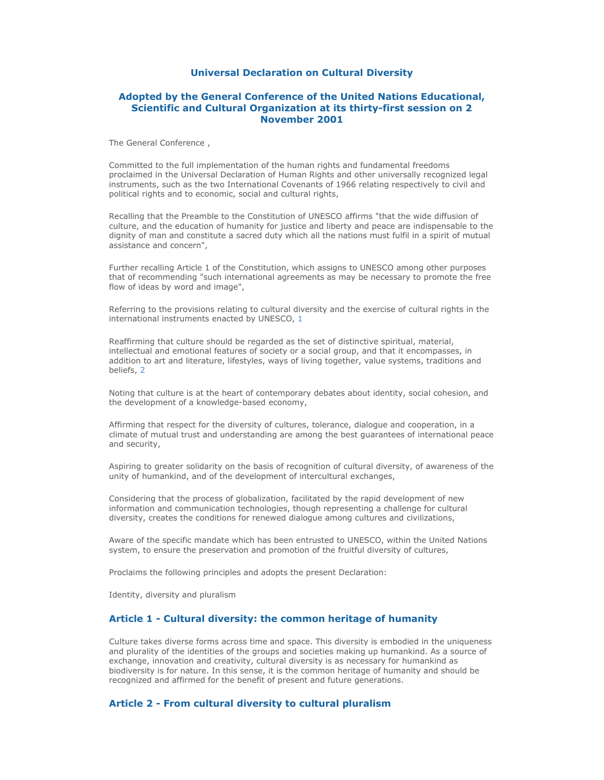### **Universal Declaration on Cultural Diversity**

### **Adopted by the General Conference of the United Nations Educational, Scientific and Cultural Organization at its thirty-first session on 2 November 2001**

The General Conference ,

Committed to the full implementation of the human rights and fundamental freedoms proclaimed in the Universal Declaration of Human Rights and other universally recognized legal instruments, such as the two International Covenants of 1966 relating respectively to civil and political rights and to economic, social and cultural rights,

Recalling that the Preamble to the Constitution of UNESCO affirms "that the wide diffusion of culture, and the education of humanity for justice and liberty and peace are indispensable to the dignity of man and constitute a sacred duty which all the nations must fulfil in a spirit of mutual assistance and concern",

Further recalling Article 1 of the Constitution, which assigns to UNESCO among other purposes that of recommending "such international agreements as may be necessary to promote the free flow of ideas by word and image",

Referring to the provisions relating to cultural diversity and the exercise of cultural rights in the international instruments enacted by UNESCO, 1

Reaffirming that culture should be regarded as the set of distinctive spiritual, material, intellectual and emotional features of society or a social group, and that it encompasses, in addition to art and literature, lifestyles, ways of living together, value systems, traditions and beliefs, 2

Noting that culture is at the heart of contemporary debates about identity, social cohesion, and the development of a knowledge-based economy,

Affirming that respect for the diversity of cultures, tolerance, dialogue and cooperation, in a climate of mutual trust and understanding are among the best guarantees of international peace and security,

Aspiring to greater solidarity on the basis of recognition of cultural diversity, of awareness of the unity of humankind, and of the development of intercultural exchanges,

Considering that the process of globalization, facilitated by the rapid development of new information and communication technologies, though representing a challenge for cultural diversity, creates the conditions for renewed dialogue among cultures and civilizations,

Aware of the specific mandate which has been entrusted to UNESCO, within the United Nations system, to ensure the preservation and promotion of the fruitful diversity of cultures,

Proclaims the following principles and adopts the present Declaration:

Identity, diversity and pluralism

#### **Article 1 - Cultural diversity: the common heritage of humanity**

Culture takes diverse forms across time and space. This diversity is embodied in the uniqueness and plurality of the identities of the groups and societies making up humankind. As a source of exchange, innovation and creativity, cultural diversity is as necessary for humankind as biodiversity is for nature. In this sense, it is the common heritage of humanity and should be recognized and affirmed for the benefit of present and future generations.

# **Article 2 - From cultural diversity to cultural pluralism**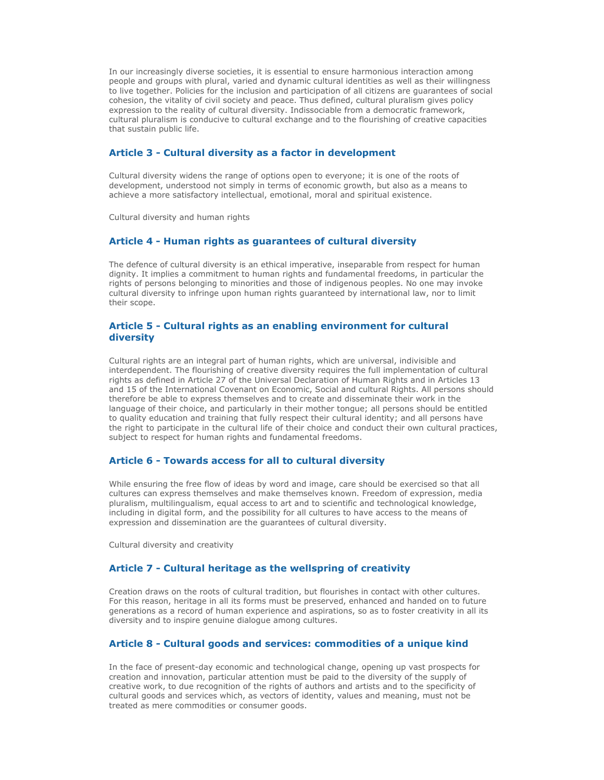In our increasingly diverse societies, it is essential to ensure harmonious interaction among people and groups with plural, varied and dynamic cultural identities as well as their willingness to live together. Policies for the inclusion and participation of all citizens are guarantees of social cohesion, the vitality of civil society and peace. Thus defined, cultural pluralism gives policy expression to the reality of cultural diversity. Indissociable from a democratic framework, cultural pluralism is conducive to cultural exchange and to the flourishing of creative capacities that sustain public life.

## **Article 3 - Cultural diversity as a factor in development**

Cultural diversity widens the range of options open to everyone; it is one of the roots of development, understood not simply in terms of economic growth, but also as a means to achieve a more satisfactory intellectual, emotional, moral and spiritual existence.

Cultural diversity and human rights

#### **Article 4 - Human rights as guarantees of cultural diversity**

The defence of cultural diversity is an ethical imperative, inseparable from respect for human dignity. It implies a commitment to human rights and fundamental freedoms, in particular the rights of persons belonging to minorities and those of indigenous peoples. No one may invoke cultural diversity to infringe upon human rights guaranteed by international law, nor to limit their scope.

# **Article 5 - Cultural rights as an enabling environment for cultural diversity**

Cultural rights are an integral part of human rights, which are universal, indivisible and interdependent. The flourishing of creative diversity requires the full implementation of cultural rights as defined in Article 27 of the Universal Declaration of Human Rights and in Articles 13 and 15 of the International Covenant on Economic, Social and cultural Rights. All persons should therefore be able to express themselves and to create and disseminate their work in the language of their choice, and particularly in their mother tongue; all persons should be entitled to quality education and training that fully respect their cultural identity; and all persons have the right to participate in the cultural life of their choice and conduct their own cultural practices, subject to respect for human rights and fundamental freedoms.

# **Article 6 - Towards access for all to cultural diversity**

While ensuring the free flow of ideas by word and image, care should be exercised so that all cultures can express themselves and make themselves known. Freedom of expression, media pluralism, multilingualism, equal access to art and to scientific and technological knowledge, including in digital form, and the possibility for all cultures to have access to the means of expression and dissemination are the guarantees of cultural diversity.

Cultural diversity and creativity

# **Article 7 - Cultural heritage as the wellspring of creativity**

Creation draws on the roots of cultural tradition, but flourishes in contact with other cultures. For this reason, heritage in all its forms must be preserved, enhanced and handed on to future generations as a record of human experience and aspirations, so as to foster creativity in all its diversity and to inspire genuine dialogue among cultures.

# **Article 8 - Cultural goods and services: commodities of a unique kind**

In the face of present-day economic and technological change, opening up vast prospects for creation and innovation, particular attention must be paid to the diversity of the supply of creative work, to due recognition of the rights of authors and artists and to the specificity of cultural goods and services which, as vectors of identity, values and meaning, must not be treated as mere commodities or consumer goods.